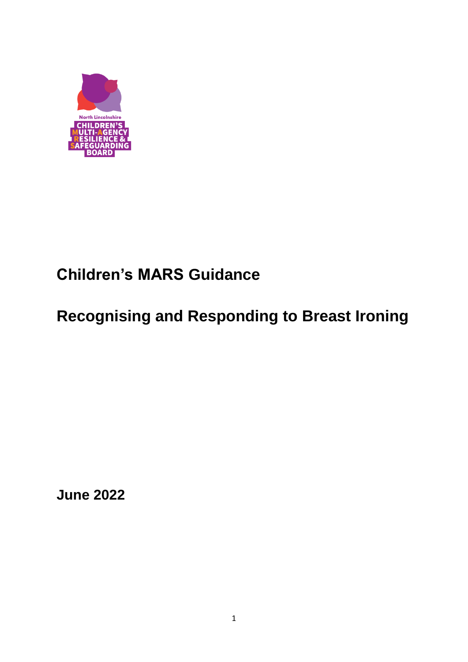

# **Children's MARS Guidance**

# **Recognising and Responding to Breast Ironing**

**June 2022**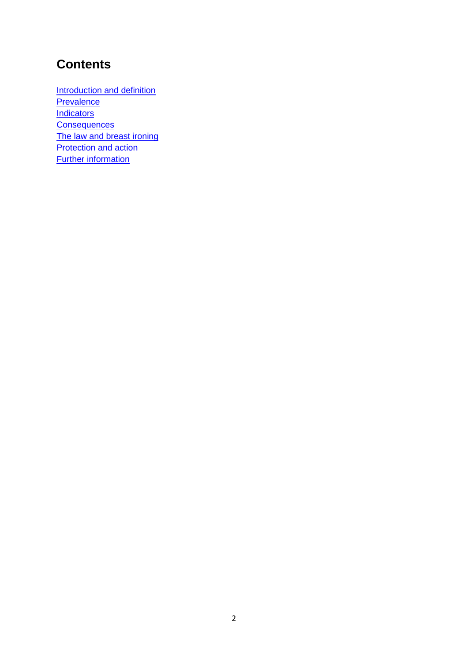## **Contents**

[Introduction and definition](#page-2-0) **[Prevalence](#page-2-1) [Indicators](#page-2-2)** [Consequences](#page-3-0) [The law and breast ironing](#page-3-1) **[Protection and action](#page-3-2)** [Further information](#page-4-0)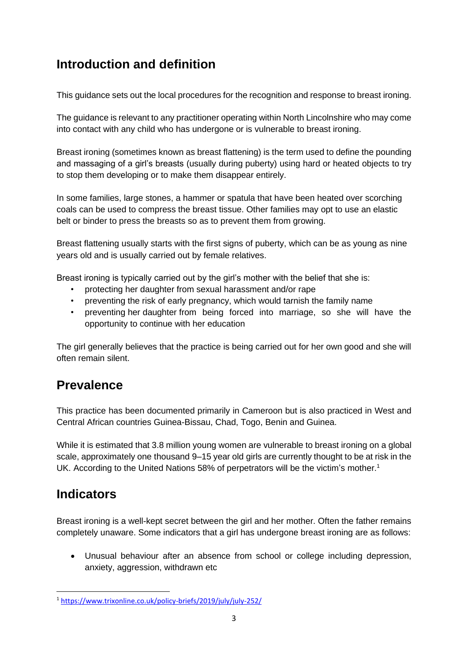# <span id="page-2-0"></span>**Introduction and definition**

This guidance sets out the local procedures for the recognition and response to breast ironing.

The guidance is relevant to any practitioner operating within North Lincolnshire who may come into contact with any child who has undergone or is vulnerable to breast ironing.

Breast ironing (sometimes known as breast flattening) is the term used to define the pounding and massaging of a girl's breasts (usually during puberty) using hard or heated objects to try to stop them developing or to make them disappear entirely.

In some families, large stones, a hammer or spatula that have been heated over scorching coals can be used to compress the breast tissue. Other families may opt to use an elastic belt or binder to press the breasts so as to prevent them from growing.

Breast flattening usually starts with the first signs of puberty, which can be as young as nine years old and is usually carried out by female relatives.

Breast ironing is typically carried out by the girl's mother with the belief that she is:

- protecting her daughter from sexual harassment and/or rape
- preventing the risk of early pregnancy, which would tarnish the family name
- preventing her daughter from being forced into marriage, so she will have the opportunity to continue with her education

The girl generally believes that the practice is being carried out for her own good and she will often remain silent.

# <span id="page-2-1"></span>**Prevalence**

This practice has been documented primarily in Cameroon but is also practiced in West and Central African countries Guinea-Bissau, Chad, Togo, Benin and Guinea.

While it is estimated that 3.8 million young women are vulnerable to breast ironing on a global scale, approximately one thousand 9–15 year old girls are currently thought to be at risk in the UK. According to the United Nations 58% of perpetrators will be the victim's mother.<sup>1</sup>

# <span id="page-2-2"></span>**Indicators**

Breast ironing is a well-kept secret between the girl and her mother. Often the father remains completely unaware. Some indicators that a girl has undergone breast ironing are as follows:

• Unusual behaviour after an absence from school or college including depression, anxiety, aggression, withdrawn etc

<sup>1</sup> <https://www.trixonline.co.uk/policy-briefs/2019/july/july-252/>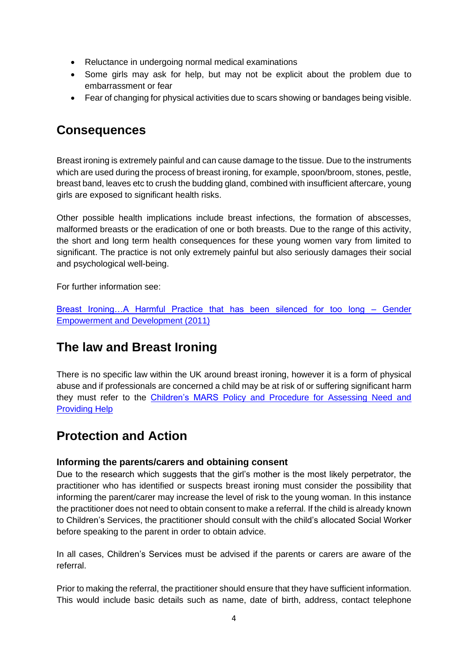- Reluctance in undergoing normal medical examinations
- Some girls may ask for help, but may not be explicit about the problem due to embarrassment or fear
- Fear of changing for physical activities due to scars showing or bandages being visible.

## <span id="page-3-0"></span>**Consequences**

Breast ironing is extremely painful and can cause damage to the tissue. Due to the instruments which are used during the process of breast ironing, for example, spoon/broom, stones, pestle, breast band, leaves etc to crush the budding gland, combined with insufficient aftercare, young girls are exposed to significant health risks.

Other possible health implications include breast infections, the formation of abscesses, malformed breasts or the eradication of one or both breasts. Due to the range of this activity, the short and long term health consequences for these young women vary from limited to significant. The practice is not only extremely painful but also seriously damages their social and psychological well-being.

For further information see:

[Breast Ironing…A Harmful Practice that has been silenced for too long –](https://www.ohchr.org/Documents/HRBodies/CEDAW/HarmfulPractices/GenderEmpowermentandDevelopment.pdf) Gender [Empowerment and Development \(2011\)](https://www.ohchr.org/Documents/HRBodies/CEDAW/HarmfulPractices/GenderEmpowermentandDevelopment.pdf)

## <span id="page-3-1"></span>**The law and Breast Ironing**

There is no specific law within the UK around breast ironing, however it is a form of physical abuse and if professionals are concerned a child may be at risk of or suffering significant harm they must refer to the Children's MARS [Policy and Procedure for Assessing Need and](http://www.northlincscmars.co.uk/policies-procedures-and-guidance/)  [Providing Help](http://www.northlincscmars.co.uk/policies-procedures-and-guidance/)

## <span id="page-3-2"></span>**Protection and Action**

### **Informing the parents/carers and obtaining consent**

Due to the research which suggests that the girl's mother is the most likely perpetrator, the practitioner who has identified or suspects breast ironing must consider the possibility that informing the parent/carer may increase the level of risk to the young woman. In this instance the practitioner does not need to obtain consent to make a referral. If the child is already known to Children's Services, the practitioner should consult with the child's allocated Social Worker before speaking to the parent in order to obtain advice.

In all cases, Children's Services must be advised if the parents or carers are aware of the referral.

Prior to making the referral, the practitioner should ensure that they have sufficient information. This would include basic details such as name, date of birth, address, contact telephone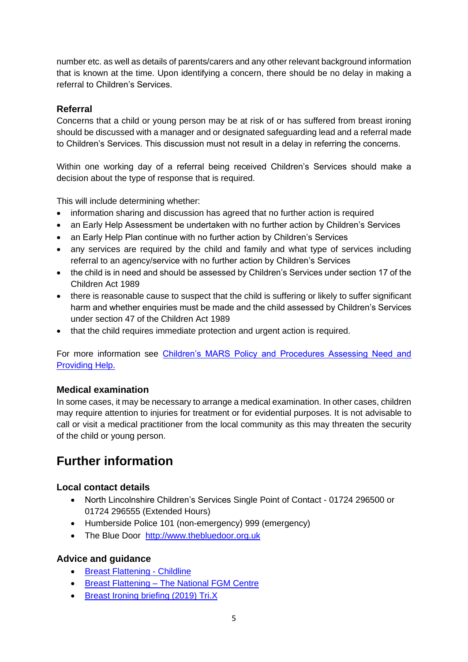number etc. as well as details of parents/carers and any other relevant background information that is known at the time. Upon identifying a concern, there should be no delay in making a referral to Children's Services.

### **Referral**

Concerns that a child or young person may be at risk of or has suffered from breast ironing should be discussed with a manager and or designated safeguarding lead and a referral made to Children's Services. This discussion must not result in a delay in referring the concerns.

Within one working day of a referral being received Children's Services should make a decision about the type of response that is required.

This will include determining whether:

- information sharing and discussion has agreed that no further action is required
- an Early Help Assessment be undertaken with no further action by Children's Services
- an Early Help Plan continue with no further action by Children's Services
- any services are required by the child and family and what type of services including referral to an agency/service with no further action by Children's Services
- the child is in need and should be assessed by Children's Services under section 17 of the Children Act 1989
- there is reasonable cause to suspect that the child is suffering or likely to suffer significant harm and whether enquiries must be made and the child assessed by Children's Services under section 47 of the Children Act 1989
- that the child requires immediate protection and urgent action is required.

For more information see [Children's MARS Policy and Procedures Assessing Need and](http://www.northlincscmars.co.uk/policies-procedures-and-guidance/)  [Providing Help.](http://www.northlincscmars.co.uk/policies-procedures-and-guidance/)

### **Medical examination**

In some cases, it may be necessary to arrange a medical examination. In other cases, children may require attention to injuries for treatment or for evidential purposes. It is not advisable to call or visit a medical practitioner from the local community as this may threaten the security of the child or young person.

# <span id="page-4-0"></span>**Further information**

### **Local contact details**

- North Lincolnshire Children's Services Single Point of Contact 01724 296500 or 01724 296555 (Extended Hours)
- Humberside Police 101 (non-emergency) 999 (emergency)
- The Blue Door [http://www.thebluedoor.org.uk](http://www.thebluedoor.org.uk/)

### **Advice and guidance**

- [Breast Flattening -](https://www.childline.org.uk/info-advice/bullying-abuse-safety/abuse-safety/breast-flattening/) Childline
- Breast Flattening [The National FGM Centre](http://nationalfgmcentre.org.uk/breast-flattening/)
- [Breast Ironing briefing \(2019\) Tri.X](https://www.trixonline.co.uk/policy-briefs/2019/july/july-252/)